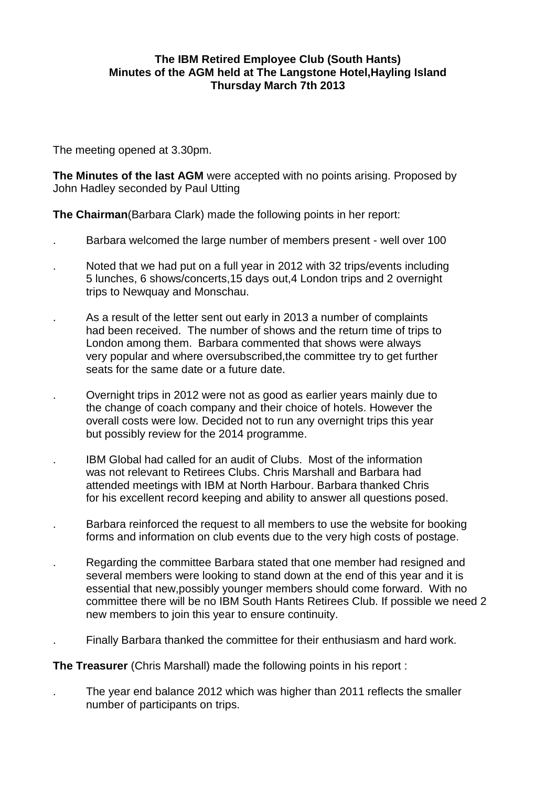## **The IBM Retired Employee Club (South Hants) Minutes of the AGM held at The Langstone Hotel,Hayling Island Thursday March 7th 2013**

The meeting opened at 3.30pm.

**The Minutes of the last AGM** were accepted with no points arising. Proposed by John Hadley seconded by Paul Utting

**The Chairman**(Barbara Clark) made the following points in her report:

- . Barbara welcomed the large number of members present well over 100
- . Noted that we had put on a full year in 2012 with 32 trips/events including 5 lunches, 6 shows/concerts,15 days out,4 London trips and 2 overnight trips to Newquay and Monschau.
- . As a result of the letter sent out early in 2013 a number of complaints had been received. The number of shows and the return time of trips to London among them. Barbara commented that shows were always very popular and where oversubscribed,the committee try to get further seats for the same date or a future date.
- . Overnight trips in 2012 were not as good as earlier years mainly due to the change of coach company and their choice of hotels. However the overall costs were low. Decided not to run any overnight trips this year but possibly review for the 2014 programme.
- . IBM Global had called for an audit of Clubs. Most of the information was not relevant to Retirees Clubs. Chris Marshall and Barbara had attended meetings with IBM at North Harbour. Barbara thanked Chris for his excellent record keeping and ability to answer all questions posed.
- . Barbara reinforced the request to all members to use the website for booking forms and information on club events due to the very high costs of postage.
- . Regarding the committee Barbara stated that one member had resigned and several members were looking to stand down at the end of this year and it is essential that new,possibly younger members should come forward. With no committee there will be no IBM South Hants Retirees Club. If possible we need 2 new members to join this year to ensure continuity.
- . Finally Barbara thanked the committee for their enthusiasm and hard work.

**The Treasurer** (Chris Marshall) made the following points in his report :

. The year end balance 2012 which was higher than 2011 reflects the smaller number of participants on trips.